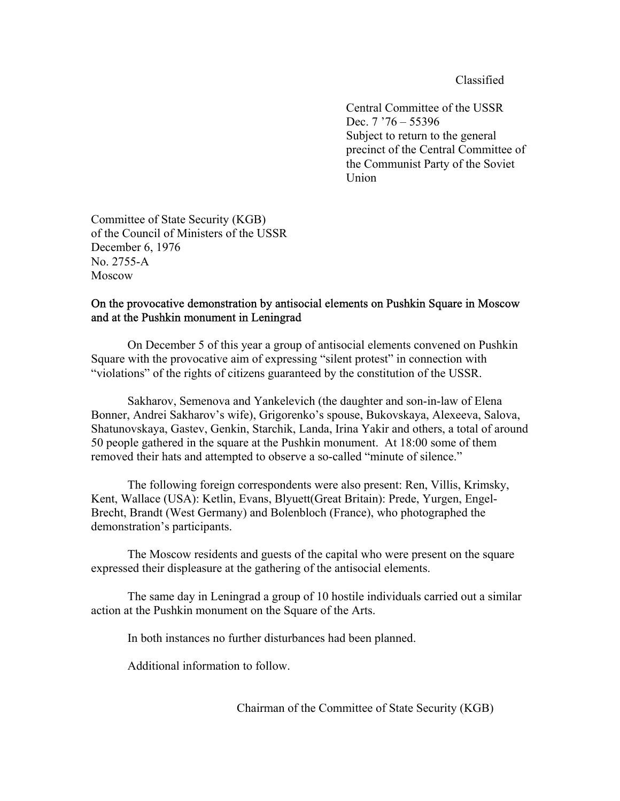**Classified** 

 Central Committee of the USSR Dec. 7 '76 – 55396 Subject to return to the general precinct of the Central Committee of the Communist Party of the Soviet Union

Committee of State Security (KGB) of the Council of Ministers of the USSR December 6, 1976 No. 2755-A Moscow

## On the provocative demonstration by antisocial elements on Pushkin Square in Moscow and at the Pushkin monument in Leningrad

 On December 5 of this year a group of antisocial elements convened on Pushkin Square with the provocative aim of expressing "silent protest" in connection with "violations" of the rights of citizens guaranteed by the constitution of the USSR.

 Sakharov, Semenova and Yankelevich (the daughter and son-in-law of Elena Bonner, Andrei Sakharov's wife), Grigorenko's spouse, Bukovskaya, Alexeeva, Salova, Shatunovskaya, Gastev, Genkin, Starchik, Landa, Irina Yakir and others, a total of around 50 people gathered in the square at the Pushkin monument. At 18:00 some of them removed their hats and attempted to observe a so-called "minute of silence."

 The following foreign correspondents were also present: Ren, Villis, Krimsky, Kent, Wallace (USA): Ketlin, Evans, Blyuett(Great Britain): Prede, Yurgen, Engel-Brecht, Brandt (West Germany) and Bolenbloch (France), who photographed the demonstration's participants.

 The Moscow residents and guests of the capital who were present on the square expressed their displeasure at the gathering of the antisocial elements.

 The same day in Leningrad a group of 10 hostile individuals carried out a similar action at the Pushkin monument on the Square of the Arts.

In both instances no further disturbances had been planned.

Additional information to follow.

Chairman of the Committee of State Security (KGB)